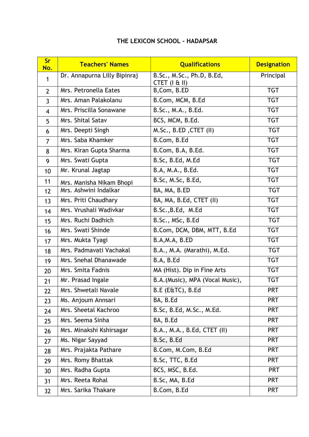## **THE LEXICON SCHOOL - HADAPSAR**

| <b>Sr</b><br>No. | <b>Teachers' Names</b>       | <b>Qualifications</b>                             | <b>Designation</b> |
|------------------|------------------------------|---------------------------------------------------|--------------------|
| 1                | Dr. Annapurna Lilly Bipinraj | B.Sc., M.Sc., Ph.D, B.Ed,<br>$CTET$ ( $1 \& II$ ) | Principal          |
| $\overline{2}$   | Mrs. Petronella Eates        | B, Com, B.ED                                      | <b>TGT</b>         |
| $\overline{3}$   | Mrs. Aman Palakolanu         | B.Com, MCM, B.Ed                                  | <b>TGT</b>         |
| $\overline{4}$   | Mrs. Priscilla Sonawane      | B.Sc., M.A., B.Ed.                                | <b>TGT</b>         |
| 5                | Mrs. Shital Satav            | BCS, MCM, B.Ed.                                   | <b>TGT</b>         |
| 6                | Mrs. Deepti Singh            | M.Sc., B.ED, CTET (II)                            | <b>TGT</b>         |
| $\overline{7}$   | Mrs. Saba Khamker            | B.Com, B.Ed                                       | <b>TGT</b>         |
| 8                | Mrs. Kiran Gupta Sharma      | B.Com, B.A, B.Ed.                                 | <b>TGT</b>         |
| 9                | Mrs. Swati Gupta             | B.Sc, B.Ed, M.Ed                                  | <b>TGT</b>         |
| 10               | Mr. Krunal Jagtap            | B.A, M.A., B.Ed.                                  | <b>TGT</b>         |
| 11               | Mrs. Manisha Nikam Bhopi     | B.Sc, M.Sc, B.Ed,                                 | <b>TGT</b>         |
| 12               | Mrs. Ashwini Indalkar        | BA, MA, B.ED                                      | <b>TGT</b>         |
| 13               | Mrs. Priti Chaudhary         | BA, MA, B.Ed, CTET (II)                           | <b>TGT</b>         |
| 14               | Mrs. Vrushali Wadivkar       | B.Sc., B.Ed, M.Ed                                 | <b>TGT</b>         |
| 15               | Mrs. Ruchi Dadhich           | B.Sc., MSc, B.Ed                                  | <b>TGT</b>         |
| 16               | Mrs. Swati Shinde            | B.Com, DCM, DBM, MTT, B.Ed                        | <b>TGT</b>         |
| 17               | Mrs. Mukta Tyagi             | B.A,M.A, B.ED                                     | <b>TGT</b>         |
| 18               | Mrs. Padmavati Vachakal      | B.A., M.A. (Marathi), M.Ed.                       | <b>TGT</b>         |
| 19               | Mrs. Snehal Dhanawade        | B.A, B.Ed                                         | <b>TGT</b>         |
| 20               | Mrs. Smita Fadnis            | MA (Hist). Dip in Fine Arts                       | <b>TGT</b>         |
| 21               | Mr. Prasad Ingale            | B.A. (Music), MPA (Vocal Music),                  | <b>TGT</b>         |
| 22               | Mrs. Shwetali Navale         | B.E (E&TC), B.Ed                                  | <b>PRT</b>         |
| 23               | Ms. Anjoum Annsari           | BA, B.Ed                                          | <b>PRT</b>         |
| 24               | Mrs. Sheetal Kachroo         | B.Sc, B.Ed, M.Sc., M.Ed.                          | <b>PRT</b>         |
| 25               | Mrs. Seema Sinha             | BA, B.Ed                                          | <b>PRT</b>         |
| 26               | Mrs. Minakshi Kshirsagar     | B.A., M.A., B.Ed, CTET (II)                       | <b>PRT</b>         |
| 27               | Ms. Nigar Sayyad             | B.Sc, B.Ed                                        | <b>PRT</b>         |
| 28               | Mrs. Prajakta Pathare        | B.Com, M.Com, B.Ed                                | <b>PRT</b>         |
| 29               | Mrs. Romy Bhattak            | B.Sc, TTC, B.Ed                                   | <b>PRT</b>         |
| 30               | Mrs. Radha Gupta             | BCS, MSC, B.Ed.                                   | <b>PRT</b>         |
| 31               | Mrs. Reeta Rohal             | B.Sc, MA, B.Ed                                    | <b>PRT</b>         |
| 32               | Mrs. Sarika Thakare          | B.Com, B.Ed                                       | <b>PRT</b>         |